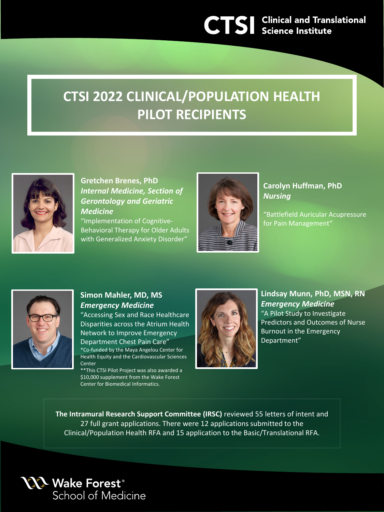## **CTSI 2022 CLINICAL/POPULATION HEALTH PILOT RECIPIENTS**



**Gretchen Brenes, PhD** *Internal Medicine, Section of Gerontology and Geriatric Medicine*

"Implementation of Cognitive-Behavioral Therapy for Older Adults with Generalized Anxiety Disorder"



**Carolyn Huffman, PhD** *Nursing*

"Battlefield Auricular Acupressure for Pain Management"



## **Simon Mahler, MD, MS** *Emergency Medicine*

"Accessing Sex and Race Healthcare Disparities across the Atrium Health Network to Improve Emergency Department Chest Pain Care" \*Co-funded by the Maya Angelou Center for Health Equity and the Cardiovascular Sciences **Center** 

\*\*This CTSI Pilot Project was also awarded a \$10,000 supplement from the Wake Forest Center for Biomedical Informatics.



**Lindsay Munn, PhD, MSN, RN** *Emergency Medicine* "A Pilot Study to Investigate Predictors and Outcomes of Nurse Burnout in the Emergency Department"

**The Intramural Research Support Committee (IRSC)** reviewed 55 letters of intent and 27 full grant applications. There were 12 applications submitted to the Clinical/Population Health RFA and 15 application to the Basic/Translational RFA.